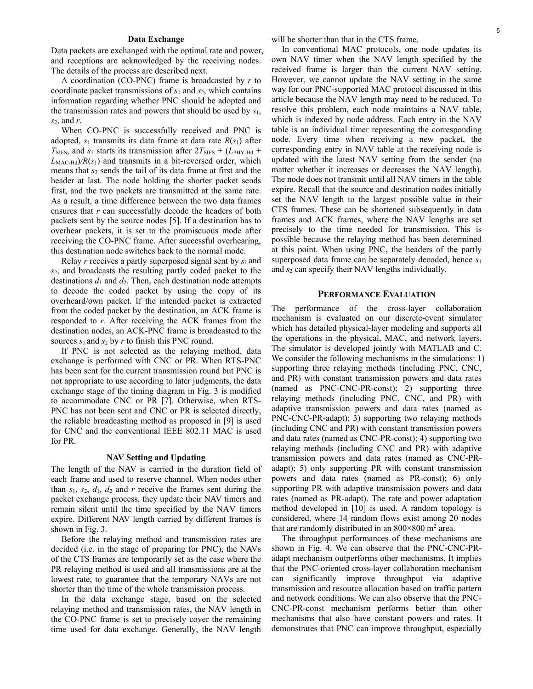## **Data Exchange**

Data packets are exchanged with the optimal rate and power, and receptions are acknowledged by the receiving nodes. The details of the process are described next.

A coordination (CO-PNC) frame is broadcasted by *r* to coordinate packet transmissions of *s*1 and *s*2, which contains information regarding whether PNC should be adopted and the transmission rates and powers that should be used by *s*1, *s*2, and *r*.

When CO-PNC is successfully received and PNC is adopted,  $s_1$  transmits its data frame at data rate  $R(s_1)$  after  $T_{\text{SIFS}}$ , and  $s_2$  starts its transmission after  $2T_{\text{SIFS}} + (L_{\text{PHY-Hd}} +$  $L_{\text{MAC-Hd}}$ / $R(s_1)$  and transmits in a bit-reversed order, which means that *s*2 sends the tail of its data frame at first and the header at last. The node holding the shorter packet sends first, and the two packets are transmitted at the same rate. As a result, a time difference between the two data frames ensures that *r* can successfully decode the headers of both packets sent by the source nodes [5]. If a destination has to overhear packets, it is set to the promiscuous mode after receiving the CO-PNC frame. After successful overhearing, this destination node switches back to the normal mode.

Relay *r* receives a partly superposed signal sent by *s*1 and *s*2, and broadcasts the resulting partly coded packet to the destinations  $d_1$  and  $d_2$ . Then, each destination node attempts to decode the coded packet by using the copy of its overheard/own packet. If the intended packet is extracted from the coded packet by the destination, an ACK frame is responded to *r*. After receiving the ACK frames from the destination nodes, an ACK-PNC frame is broadcasted to the sources  $s_1$  and  $s_2$  by  $r$  to finish this PNC round.

If PNC is not selected as the relaying method, data exchange is performed with CNC or PR. When RTS-PNC has been sent for the current transmission round but PNC is not appropriate to use according to later judgments, the data exchange stage of the timing diagram in Fig. 3 is modified to accommodate CNC or PR [7]. Otherwise, when RTS-PNC has not been sent and CNC or PR is selected directly, the reliable broadcasting method as proposed in [9] is used for CNC and the conventional IEEE 802.11 MAC is used for PR.

# **NAV Setting and Updating**

The length of the NAV is carried in the duration field of each frame and used to reserve channel. When nodes other than  $s_1$ ,  $s_2$ ,  $d_1$ ,  $d_2$  and  $r$  receive the frames sent during the packet exchange process, they update their NAV timers and remain silent until the time specified by the NAV timers expire. Different NAV length carried by different frames is shown in Fig. 3.

Before the relaying method and transmission rates are decided (i.e. in the stage of preparing for PNC), the NAVs of the CTS frames are temporarily set as the case where the PR relaying method is used and all transmissions are at the lowest rate, to guarantee that the temporary NAVs are not shorter than the time of the whole transmission process.

In the data exchange stage, based on the selected relaying method and transmission rates, the NAV length in the CO-PNC frame is set to precisely cover the remaining time used for data exchange. Generally, the NAV length will be shorter than that in the CTS frame.

In conventional MAC protocols, one node updates its own NAV timer when the NAV length specified by the received frame is larger than the current NAV setting. However, we cannot update the NAV setting in the same way for our PNC-supported MAC protocol discussed in this article because the NAV length may need to be reduced. To resolve this problem, each node maintains a NAV table, which is indexed by node address. Each entry in the NAV table is an individual timer representing the corresponding node. Every time when receiving a new packet, the corresponding entry in NAV table at the receiving node is updated with the latest NAV setting from the sender (no matter whether it increases or decreases the NAV length). The node does not transmit until all NAV timers in the table expire. Recall that the source and destination nodes initially set the NAV length to the largest possible value in their CTS frames. These can be shortened subsequently in data frames and ACK frames, where the NAV lengths are set precisely to the time needed for transmission. This is possible because the relaying method has been determined at this point. When using PNC, the headers of the partly superposed data frame can be separately decoded, hence *s*<sup>1</sup> and *s*2 can specify their NAV lengths individually.

## **PERFORMANCE EVALUATION**

The performance of the cross-layer collaboration mechanism is evaluated on our discrete-event simulator which has detailed physical-layer modeling and supports all the operations in the physical, MAC, and network layers. The simulator is developed jointly with MATLAB and C. We consider the following mechanisms in the simulations: 1) supporting three relaying methods (including PNC, CNC, and PR) with constant transmission powers and data rates (named as PNC-CNC-PR-const); 2) supporting three relaying methods (including PNC, CNC, and PR) with adaptive transmission powers and data rates (named as PNC-CNC-PR-adapt); 3) supporting two relaying methods (including CNC and PR) with constant transmission powers and data rates (named as CNC-PR-const); 4) supporting two relaying methods (including CNC and PR) with adaptive transmission powers and data rates (named as CNC-PRadapt); 5) only supporting PR with constant transmission powers and data rates (named as PR-const); 6) only supporting PR with adaptive transmission powers and data rates (named as PR-adapt). The rate and power adaptation method developed in [10] is used. A random topology is considered, where 14 random flows exist among 20 nodes that are randomly distributed in an  $800 \times 800$  m<sup>2</sup> area.

The throughput performances of these mechanisms are shown in Fig. 4. We can observe that the PNC-CNC-PRadapt mechanism outperforms other mechanisms. It implies that the PNC-oriented cross-layer collaboration mechanism can significantly improve throughput via adaptive transmission and resource allocation based on traffic pattern and network conditions. We can also observe that the PNC-CNC-PR-const mechanism performs better than other mechanisms that also have constant powers and rates. It demonstrates that PNC can improve throughput, especially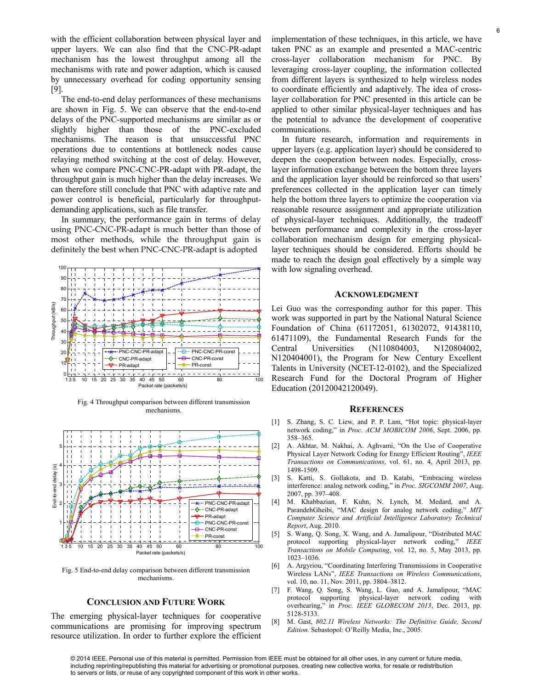with the efficient collaboration between physical layer and upper layers. We can also find that the CNC-PR-adapt mechanism has the lowest throughput among all the mechanisms with rate and power adaption, which is caused by unnecessary overhead for coding opportunity sensing [9].

The end-to-end delay performances of these mechanisms are shown in Fig. 5. We can observe that the end-to-end delays of the PNC-supported mechanisms are similar as or slightly higher than those of the PNC-excluded mechanisms. The reason is that unsuccessful PNC operations due to contentions at bottleneck nodes cause relaying method switching at the cost of delay. However, when we compare PNC-CNC-PR-adapt with PR-adapt, the throughput gain is much higher than the delay increases. We can therefore still conclude that PNC with adaptive rate and power control is beneficial, particularly for throughputdemanding applications, such as file transfer.

In summary, the performance gain in terms of delay using PNC-CNC-PR-adapt is much better than those of most other methods, while the throughput gain is definitely the best when PNC-CNC-PR-adapt is adopted



Fig. 4 Throughput comparison between different transmission mechanisms.



Fig. 5 End-to-end delay comparison between different transmission mechanisms.

# **CONCLUSION AND FUTURE WORK**

The emerging physical-layer techniques for cooperative communications are promising for improving spectrum resource utilization. In order to further explore the efficient implementation of these techniques, in this article, we have taken PNC as an example and presented a MAC-centric cross-layer collaboration mechanism for PNC. By leveraging cross-layer coupling, the information collected from different layers is synthesized to help wireless nodes to coordinate efficiently and adaptively. The idea of crosslayer collaboration for PNC presented in this article can be applied to other similar physical-layer techniques and has the potential to advance the development of cooperative communications.

In future research, information and requirements in upper layers (e.g. application layer) should be considered to deepen the cooperation between nodes. Especially, crosslayer information exchange between the bottom three layers and the application layer should be reinforced so that users' preferences collected in the application layer can timely help the bottom three layers to optimize the cooperation via reasonable resource assignment and appropriate utilization of physical-layer techniques. Additionally, the tradeoff between performance and complexity in the cross-layer collaboration mechanism design for emerging physicallayer techniques should be considered. Efforts should be made to reach the design goal effectively by a simple way with low signaling overhead.

#### **ACKNOWLEDGMENT**

Lei Guo was the corresponding author for this paper. This work was supported in part by the National Natural Science Foundation of China (61172051, 61302072, 91438110, 61471109), the Fundamental Research Funds for the Central Universities (N110804003, N120804002, N120404001), the Program for New Century Excellent Talents in University (NCET-12-0102), and the Specialized Research Fund for the Doctoral Program of Higher Education (20120042120049).

#### **REFERENCES**

- [1] S. Zhang, S. C. Liew, and P. P. Lam, "Hot topic: physical-layer network coding," in *Proc. ACM MOBICOM 2006*, Sept. 2006, pp. 358–365.
- [2] A. Akhtar, M. Nakhai, A. Aghvami, "On the Use of Cooperative Physical Layer Network Coding for Energy Efficient Routing", *IEEE Transactions on Communications*, vol. 61, no. 4, April 2013, pp. 1498-1509.
- [3] S. Katti, S. Gollakota, and D. Katabi, "Embracing wireless interference: analog network coding," in *Proc. SIGCOMM 2007*, Aug. 2007, pp. 397–408.
- [4] M. Khabbazian, F. Kuhn, N. Lynch, M. Medard, and A. ParandehGheibi, "MAC design for analog network coding," *MIT Computer Science and Artificial Intelligence Laboratory Technical Report*, Aug. 2010.
- [5] S. Wang, Q. Song, X. Wang, and A. Jamalipour, "Distributed MAC protocol supporting physical-layer network coding," *IEEE Transactions on Mobile Computing*, vol. 12, no. 5, May 2013, pp. 1023–1036.
- [6] A. Argyriou, "Coordinating Interfering Transmissions in Cooperative Wireless LANs", *IEEE Transactions on Wireless Communications*, vol. 10, no. 11, Nov. 2011, pp. 3804–3812.
- [7] F. Wang, Q. Song, S. Wang, L. Guo, and A. Jamalipour, "MAC protocol supporting physical-layer network coding with overhearing," in *Proc. IEEE GLOBECOM 2013*, Dec. 2013, pp. 5128-5133.
- [8] M. Gast, *802.11 Wireless Networks: The Definitive Guide, Second Edition*. Sebastopol: O'Reilly Media, Inc., 2005.

© 2014 IEEE. Personal use of this material is permitted. Permission from IEEE must be obtained for all other uses, in any current or future media, including reprinting/republishing this material for advertising or promotional purposes, creating new collective works, for resale or redistribution to servers or lists, or reuse of any copyrighted component of this work in other works.